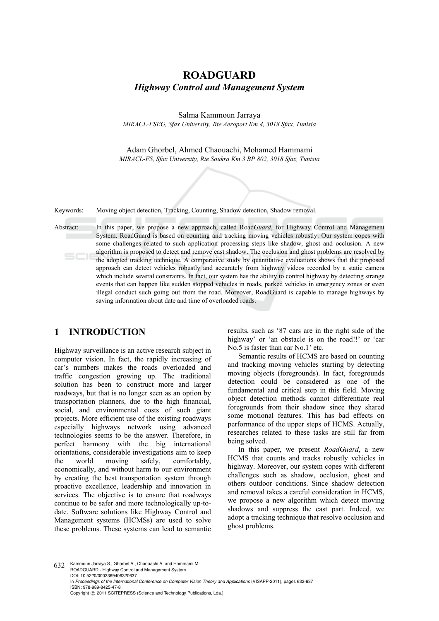# **ROADGUARD**  *Highway Control and Management System*

Salma Kammoun Jarraya

*MIRACL-FSEG, Sfax University, Rte Aeroport Km 4, 3018 Sfax, Tunisia* 

Adam Ghorbel, Ahmed Chaouachi, Mohamed Hammami *MIRACL-FS, Sfax University, Rte Soukra Km 3 BP 802, 3018 Sfax, Tunisia* 

Keywords: Moving object detection, Tracking, Counting, Shadow detection, Shadow removal.

Abstract: In this paper, we propose a new approach, called Road*Guard*, for Highway Control and Management System. RoadGuard is based on counting and tracking moving vehicles robustly. Our system copes with some challenges related to such application processing steps like shadow, ghost and occlusion. A new algorithm is proposed to detect and remove cast shadow. The occlusion and ghost problems are resolved by the adopted tracking technique. A comparative study by quantitative evaluations shows that the proposed approach can detect vehicles robustly and accurately from highway videos recorded by a static camera which include several constraints. In fact, our system has the ability to control highway by detecting strange events that can happen like sudden stopped vehicles in roads, parked vehicles in emergency zones or even illegal conduct such going out from the road. Moreover, RoadGuard is capable to manage highways by saving information about date and time of overloaded roads.

### **1 INTRODUCTION**

Highway surveillance is an active research subject in computer vision. In fact, the rapidly increasing of car's numbers makes the roads overloaded and traffic congestion growing up. The traditional solution has been to construct more and larger roadways, but that is no longer seen as an option by transportation planners, due to the high financial, social, and environmental costs of such giant projects. More efficient use of the existing roadways especially highways network using advanced technologies seems to be the answer. Therefore, in perfect harmony with the big international orientations, considerable investigations aim to keep the world moving safely, comfortably, economically, and without harm to our environment by creating the best transportation system through proactive excellence, leadership and innovation in services. The objective is to ensure that roadways continue to be safer and more technologically up-todate. Software solutions like Highway Control and Management systems (HCMSs) are used to solve these problems. These systems can lead to semantic

results, such as '87 cars are in the right side of the highway' or 'an obstacle is on the road!!' or 'car No.5 is faster than car No.1' etc.

Semantic results of HCMS are based on counting and tracking moving vehicles starting by detecting moving objects (foregrounds). In fact, foregrounds detection could be considered as one of the fundamental and critical step in this field. Moving object detection methods cannot differentiate real foregrounds from their shadow since they shared some motional features. This has bad effects on performance of the upper steps of HCMS. Actually, researches related to these tasks are still far from being solved.

In this paper, we present *RoadGuard*, a new HCMS that counts and tracks robustly vehicles in highway. Moreover, our system copes with different challenges such as shadow, occlusion, ghost and others outdoor conditions. Since shadow detection and removal takes a careful consideration in HCMS, we propose a new algorithm which detect moving shadows and suppress the cast part. Indeed, we adopt a tracking technique that resolve occlusion and ghost problems.

632 Kammoun Jarraya S., Ghorbel A., Chaouachi A. and Hammami M.. ROADGUARD - Highway Control and Management System. DOI: 10.5220/0003369406320637 In *Proceedings of the International Conference on Computer Vision Theory and Applications* (VISAPP-2011), pages 632-637 ISBN: 978-989-8425-47-8 Copyright © 2011 SCITEPRESS (Science and Technology Publications, Lda.)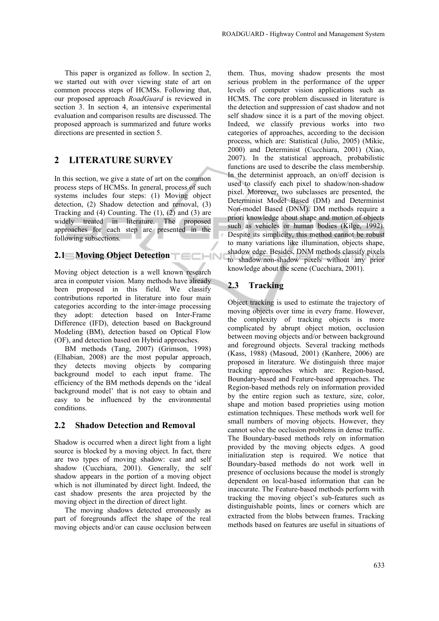This paper is organized as follow. In section 2, we started out with over viewing state of art on common process steps of HCMSs. Following that, our proposed approach *RoadGuard* is reviewed in section 3. In section 4, an intensive experimental evaluation and comparison results are discussed. The proposed approach is summarized and future works directions are presented in section 5.

### **2 LITERATURE SURVEY**

In this section, we give a state of art on the common process steps of HCMSs. In general, process of such systems includes four steps: (1) Moving object detection, (2) Shadow detection and removal, (3) Tracking and (4) Counting. The (1), (2) and (3) are widely treated in literature. The proposed approaches for each step are presented in the following subsections.

### **2.1 Moving Object Detection**

Moving object detection is a well known research area in computer vision. Many methods have already been proposed in this field. We classify contributions reported in literature into four main categories according to the inter-image processing they adopt: detection based on Inter-Frame Difference (IFD), detection based on Background Modeling (BM), detection based on Optical Flow (OF), and detection based on Hybrid approaches.

BM methods (Tang, 2007) (Grimson, 1998) (Elhabian, 2008) are the most popular approach, they detects moving objects by comparing background model to each input frame. The efficiency of the BM methods depends on the 'ideal background model' that is not easy to obtain and easy to be influenced by the environmental conditions.

#### **2.2 Shadow Detection and Removal**

Shadow is occurred when a direct light from a light source is blocked by a moving object. In fact, there are two types of moving shadow: cast and self shadow (Cucchiara, 2001). Generally, the self shadow appears in the portion of a moving object which is not illuminated by direct light. Indeed, the cast shadow presents the area projected by the moving object in the direction of direct light.

The moving shadows detected erroneously as part of foregrounds affect the shape of the real moving objects and/or can cause occlusion between

them. Thus, moving shadow presents the most serious problem in the performance of the upper levels of computer vision applications such as HCMS. The core problem discussed in literature is the detection and suppression of cast shadow and not self shadow since it is a part of the moving object. Indeed, we classify previous works into two categories of approaches, according to the decision process, which are: Statistical (Julio, 2005) (Mikic, 2000) and Determinist (Cucchiara, 2001) (Xiao, 2007). In the statistical approach, probabilistic functions are used to describe the class membership. In the determinist approach, an on/off decision is used to classify each pixel to shadow/non-shadow pixel. Moreover, two subclasses are presented, the Determinist Model Based (DM) and Determinist Non-model Based (DNM). DM methods require a priori knowledge about shape and motion of objects such as vehicles or human bodies (Kilge, 1992). Despite its simplicity, this method cannot be robust to many variations like illumination, objects shape, shadow edge. Besides, DNM methods classify pixels to shadow/non-shadow pixels without any prior knowledge about the scene (Cucchiara, 2001).

#### **2.3 Tracking**

Object tracking is used to estimate the trajectory of moving objects over time in every frame. However, the complexity of tracking objects is more complicated by abrupt object motion, occlusion between moving objects and/or between background and foreground objects. Several tracking methods (Kass, 1988) (Masoud, 2001) (Kanhere, 2006) are proposed in literature. We distinguish three major tracking approaches which are: Region-based, Boundary-based and Feature-based approaches. The Region-based methods rely on information provided by the entire region such as texture, size, color, shape and motion based proprieties using motion estimation techniques. These methods work well for small numbers of moving objects. However, they cannot solve the occlusion problems in dense traffic. The Boundary-based methods rely on information provided by the moving objects edges. A good initialization step is required. We notice that Boundary-based methods do not work well in presence of occlusions because the model is strongly dependent on local-based information that can be inaccurate. The Feature-based methods perform with tracking the moving object's sub-features such as distinguishable points, lines or corners which are extracted from the blobs between frames. Tracking methods based on features are useful in situations of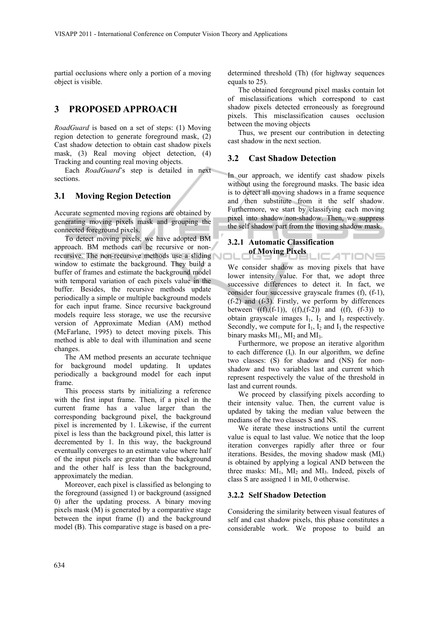partial occlusions where only a portion of a moving object is visible.

## **3 PROPOSED APPROACH**

*RoadGuard* is based on a set of steps: (1) Moving region detection to generate foreground mask, (2) Cast shadow detection to obtain cast shadow pixels mask, (3) Real moving object detection, (4) Tracking and counting real moving objects.

Each *RoadGuard*'s step is detailed in next sections.

#### **3.1 Moving Region Detection**

Accurate segmented moving regions are obtained by generating moving pixels mask and grouping the connected foreground pixels.

To detect moving pixels, we have adopted BM approach. BM methods can be recursive or nonrecursive. The non-recursive methods use a sliding window to estimate the background. They build a buffer of frames and estimate the background model with temporal variation of each pixels value in the buffer. Besides, the recursive methods update periodically a simple or multiple background models for each input frame. Since recursive background models require less storage, we use the recursive version of Approximate Median (AM) method (McFarlane, 1995) to detect moving pixels. This method is able to deal with illumination and scene changes.

The AM method presents an accurate technique for background model updating. It updates periodically a background model for each input frame.

This process starts by initializing a reference with the first input frame. Then, if a pixel in the current frame has a value larger than the corresponding background pixel, the background pixel is incremented by 1. Likewise, if the current pixel is less than the background pixel, this latter is decremented by 1. In this way, the background eventually converges to an estimate value where half of the input pixels are greater than the background and the other half is less than the background, approximately the median.

Moreover, each pixel is classified as belonging to the foreground (assigned 1) or background (assigned 0) after the updating process. A binary moving pixels mask (M) is generated by a comparative stage between the input frame (I) and the background model (B). This comparative stage is based on a predetermined threshold (Th) (for highway sequences equals to 25).

The obtained foreground pixel masks contain lot of misclassifications which correspond to cast shadow pixels detected erroneously as foreground pixels. This misclassification causes occlusion between the moving objects

Thus, we present our contribution in detecting cast shadow in the next section.

#### **3.2 Cast Shadow Detection**

In our approach, we identify cast shadow pixels without using the foreground masks. The basic idea is to detect all moving shadows in a frame sequence and then substitute from it the self shadow. Furthermore, we start by classifying each moving pixel into shadow/non-shadow. Then, we suppress the self shadow part from the moving shadow mask.

#### **3.2.1 Automatic Classification of Moving Pixels CATIONS:**

We consider shadow as moving pixels that have lower intensity value. For that, we adopt three successive differences to detect it. In fact, we consider four successive grayscale frames (f), (f-1), (f-2) and (f-3). Firstly, we perform by differences between  $((f),(f-1)), ((f),(f-2))$  and  $((f),(f-3))$  to obtain grayscale images  $I_1$ ,  $I_2$  and  $I_3$  respectively. Secondly, we compute for  $I_1$ ,  $I_2$  and  $I_3$  the respective binary masks  $MI_1$ ,  $MI_2$  and  $MI_3$ .

Furthermore, we propose an iterative algorithm to each difference  $(I_i)$ . In our algorithm, we define two classes: (S) for shadow and (NS) for nonshadow and two variables last and current which represent respectively the value of the threshold in last and current rounds.

We proceed by classifying pixels according to their intensity value. Then, the current value is updated by taking the median value between the medians of the two classes S and NS.

We iterate these instructions until the current value is equal to last value. We notice that the loop iteration converges rapidly after three or four iterations. Besides, the moving shadow mask  $(MI_i)$ is obtained by applying a logical AND between the three masks:  $MI_1$ ,  $MI_2$  and  $MI_3$ . Indeed, pixels of class S are assigned 1 in MI, 0 otherwise.

#### **3.2.2 Self Shadow Detection**

Considering the similarity between visual features of self and cast shadow pixels, this phase constitutes a considerable work. We propose to build an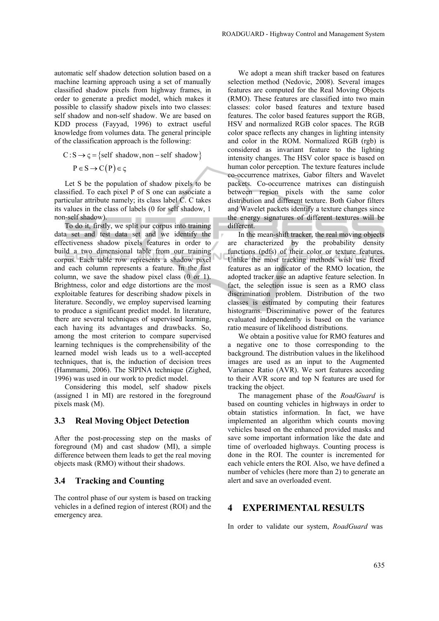automatic self shadow detection solution based on a machine learning approach using a set of manually classified shadow pixels from highway frames, in order to generate a predict model, which makes it possible to classify shadow pixels into two classes: self shadow and non-self shadow. We are based on KDD process (Fayyad, 1996) to extract useful knowledge from volumes data. The general principle of the classification approach is the following:

$$
C: S \rightarrow \varsigma = \{ self\ shadow, non-self\ shadow\}
$$

$$
P \in S \to C(P) \in \varsigma
$$

Let S be the population of shadow pixels to be classified. To each pixel P of S one can associate a particular attribute namely; its class label C. C takes its values in the class of labels (0 for self shadow, 1 non-self shadow).

To do it, firstly, we split our corpus into training data set and test data set and we identify the effectiveness shadow pixels features in order to build a two dimensional table from our training corpus. Each table row represents a shadow pixel and each column represents a feature. In the last column, we save the shadow pixel class (0 or 1). Brightness, color and edge distortions are the most exploitable features for describing shadow pixels in literature. Secondly, we employ supervised learning to produce a significant predict model. In literature, there are several techniques of supervised learning, each having its advantages and drawbacks. So, among the most criterion to compare supervised learning techniques is the comprehensibility of the learned model wish leads us to a well-accepted techniques, that is, the induction of decision trees (Hammami, 2006). The SIPINA technique (Zighed, 1996) was used in our work to predict model.

Considering this model, self shadow pixels (assigned 1 in MI) are restored in the foreground pixels mask (M).

#### **3.3 Real Moving Object Detection**

After the post-processing step on the masks of foreground (M) and cast shadow (MI), a simple difference between them leads to get the real moving objects mask (RMO) without their shadows.

#### **3.4 Tracking and Counting**

The control phase of our system is based on tracking vehicles in a defined region of interest (ROI) and the emergency area.

We adopt a mean shift tracker based on features selection method (Nedovic, 2008). Several images features are computed for the Real Moving Objects (RMO). These features are classified into two main classes: color based features and texture based features. The color based features support the RGB, HSV and normalized RGB color spaces. The RGB color space reflects any changes in lighting intensity and color in the ROM. Normalized RGB (rgb) is considered as invariant feature to the lighting intensity changes. The HSV color space is based on human color perception. The texture features include co-occurrence matrixes, Gabor filters and Wavelet packets. Co-occurrence matrixes can distinguish between region pixels with the same color distribution and different texture. Both Gabor filters and Wavelet packets identify a texture changes since the energy signatures of different textures will be different.

In the mean-shift tracker, the real moving objects are characterized by the probability density functions (pdfs) of their color or texture features. Unlike the most tracking methods wish use fixed features as an indicator of the RMO location, the adopted tracker use an adaptive feature selection. In fact, the selection issue is seen as a RMO class discrimination problem. Distribution of the two classes is estimated by computing their features histograms. Discriminative power of the features evaluated independently is based on the variance ratio measure of likelihood distributions.

We obtain a positive value for RMO features and a negative one to those corresponding to the background. The distribution values in the likelihood images are used as an input to the Augmented Variance Ratio (AVR). We sort features according to their AVR score and top N features are used for tracking the object.

The management phase of the *RoadGuard* is based on counting vehicles in highways in order to obtain statistics information. In fact, we have implemented an algorithm which counts moving vehicles based on the enhanced provided masks and save some important information like the date and time of overloaded highways. Counting process is done in the ROI. The counter is incremented for each vehicle enters the ROI. Also, we have defined a number of vehicles (here more than 2) to generate an alert and save an overloaded event.

#### **4 EXPERIMENTAL RESULTS**

In order to validate our system, *RoadGuard* was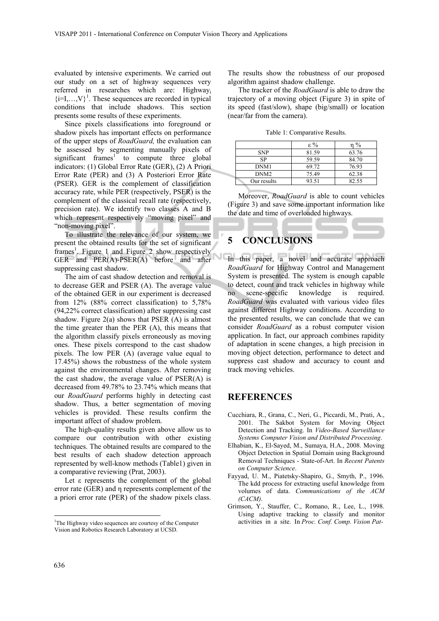evaluated by intensive experiments. We carried out our study on a set of highway sequences very referred in researches which are: Highwayi  $\{i=1,\ldots,V\}^1$ . These sequences are recorded in typical conditions that include shadows. This section presents some results of these experiments.

Since pixels classifications into foreground or shadow pixels has important effects on performance of the upper steps of *RoadGuard,* the evaluation can be assessed by segmenting manually pixels of significant frames<sup>1</sup> to compute three global indicators: (1) Global Error Rate (GER), (2) A Priori Error Rate (PER) and (3) A Posteriori Error Rate (PSER). GER is the complement of classification accuracy rate, while PER (respectively, PSER) is the complement of the classical recall rate (respectively, precision rate). We identify two classes A and B which represent respectively "moving pixel" and "non-moving pixel".

To illustrate the relevance of our system, we present the obtained results for the set of significant frames<sup>1</sup>. Figure 1 and Figure 2 show respectively GER and PER(A)-PSER(A) before and after suppressing cast shadow.

The aim of cast shadow detection and removal is to decrease GER and PSER (A). The average value of the obtained GER in our experiment is decreased from 12% (88% correct classification) to 5,78% (94,22% correct classification) after suppressing cast shadow. Figure  $2(a)$  shows that PSER  $(A)$  is almost the time greater than the PER (A), this means that the algorithm classify pixels erroneously as moving ones. These pixels correspond to the cast shadow pixels. The low PER (A) (average value equal to 17.45%) shows the robustness of the whole system against the environmental changes. After removing the cast shadow, the average value of PSER(A) is decreased from 49.78% to 23.74% which means that our *RoadGuard* performs highly in detecting cast shadow. Thus, a better segmentation of moving vehicles is provided. These results confirm the important affect of shadow problem.

The high-quality results given above allow us to compare our contribution with other existing techniques. The obtained results are compared to the best results of each shadow detection approach represented by well-know methods (Table1) given in a comparative reviewing (Prat, 2003).

Let ε represents the complement of the global error rate (GER) and η represents complement of the a priori error rate (PER) of the shadow pixels class.

The results show the robustness of our proposed algorithm against shadow challenge.

The tracker of the *RoadGuard* is able to draw the trajectory of a moving object (Figure 3) in spite of its speed (fast/slow), shape (big/small) or location (near/far from the camera).

Table 1: Comparative Results.

|                  | $\epsilon \%$ | $\%$  |
|------------------|---------------|-------|
| <b>SNP</b>       | 81.59         | 63.76 |
| SP               | 59.59         | 84.70 |
| DNM1             | 69.72         | 76.93 |
| DNM <sub>2</sub> | 75.49         | 62.38 |
| Our results      | 93.51         | 82.55 |

Moreover, *RoadGuard* is able to count vehicles (Figure 3) and save some important information like the date and time of overloaded highways.

# **5 CONCLUSIONS**

In this paper, a novel and accurate approach *RoadGuard* for Highway Control and Management System is presented. The system is enough capable to detect, count and track vehicles in highway while no scene-specific knowledge is required. *RoadGuard* was evaluated with various video files against different Highway conditions. According to the presented results, we can conclude that we can consider *RoadGuard* as a robust computer vision application. In fact, our approach combines rapidity of adaptation in scene changes, a high precision in moving object detection, performance to detect and suppress cast shadow and accuracy to count and track moving vehicles.

#### **REFERENCES**

- Cucchiara, R., Grana, C., Neri, G., Piccardi, M., Prati, A., 2001. The Sakbot System for Moving Object Detection and Tracking. In *Video-Based Surveillance Systems Computer Vision and Distributed Processing*.
- Elhabian, K., El-Sayed, M., Sumaya, H.A., 2008. Moving Object Detection in Spatial Domain using Background Removal Techniques - State-of-Art. In *Recent Patents on Computer Science*.
- Fayyad, U. M., Piatetsky-Shapiro, G., Smyth, P., 1996. The kdd process for extracting useful knowledge from volumes of data. *Communications of the ACM (CACM)*.
- Grimson, Y., Stauffer, C., Romano, R., Lee, L., 1998. Using adaptive tracking to classify and monitor activities in a site. In *Proc. Conf. Comp. Vision Pat-*

 $\overline{a}$ 

<sup>&</sup>lt;sup>1</sup>The Highway video sequences are courtesy of the Computer Vision and Robotics Research Laboratory at UCSD.